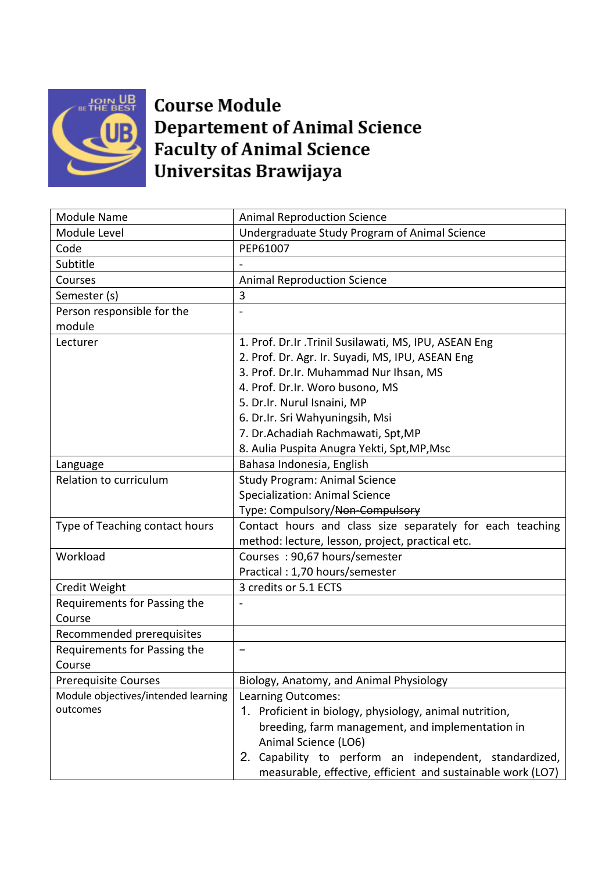

## **Course Module Departement of Animal Science Faculty of Animal Science** Universitas Brawijaya

| <b>Module Name</b>                  | <b>Animal Reproduction Science</b>                          |
|-------------------------------------|-------------------------------------------------------------|
| Module Level                        | Undergraduate Study Program of Animal Science               |
| Code                                | PEP61007                                                    |
| Subtitle                            |                                                             |
| Courses                             | <b>Animal Reproduction Science</b>                          |
| Semester (s)                        | 3                                                           |
| Person responsible for the          |                                                             |
| module                              |                                                             |
| Lecturer                            | 1. Prof. Dr.Ir .Trinil Susilawati, MS, IPU, ASEAN Eng       |
|                                     | 2. Prof. Dr. Agr. Ir. Suyadi, MS, IPU, ASEAN Eng            |
|                                     | 3. Prof. Dr.Ir. Muhammad Nur Ihsan, MS                      |
|                                     | 4. Prof. Dr.Ir. Woro busono, MS                             |
|                                     | 5. Dr.Ir. Nurul Isnaini, MP                                 |
|                                     | 6. Dr.Ir. Sri Wahyuningsih, Msi                             |
|                                     | 7. Dr.Achadiah Rachmawati, Spt, MP                          |
|                                     | 8. Aulia Puspita Anugra Yekti, Spt, MP, Msc                 |
| Language                            | Bahasa Indonesia, English                                   |
| Relation to curriculum              | <b>Study Program: Animal Science</b>                        |
|                                     | <b>Specialization: Animal Science</b>                       |
|                                     | Type: Compulsory/Non-Compulsory                             |
| Type of Teaching contact hours      | Contact hours and class size separately for each teaching   |
|                                     | method: lecture, lesson, project, practical etc.            |
| Workload                            | Courses: 90,67 hours/semester                               |
|                                     | Practical: 1,70 hours/semester                              |
| Credit Weight                       | 3 credits or 5.1 ECTS                                       |
| Requirements for Passing the        |                                                             |
| Course                              |                                                             |
| Recommended prerequisites           |                                                             |
| Requirements for Passing the        |                                                             |
| Course                              |                                                             |
| <b>Prerequisite Courses</b>         | Biology, Anatomy, and Animal Physiology                     |
| Module objectives/intended learning | Learning Outcomes:                                          |
| outcomes                            | 1. Proficient in biology, physiology, animal nutrition,     |
|                                     | breeding, farm management, and implementation in            |
|                                     | Animal Science (LO6)                                        |
|                                     | 2. Capability to perform an independent, standardized,      |
|                                     | measurable, effective, efficient and sustainable work (LO7) |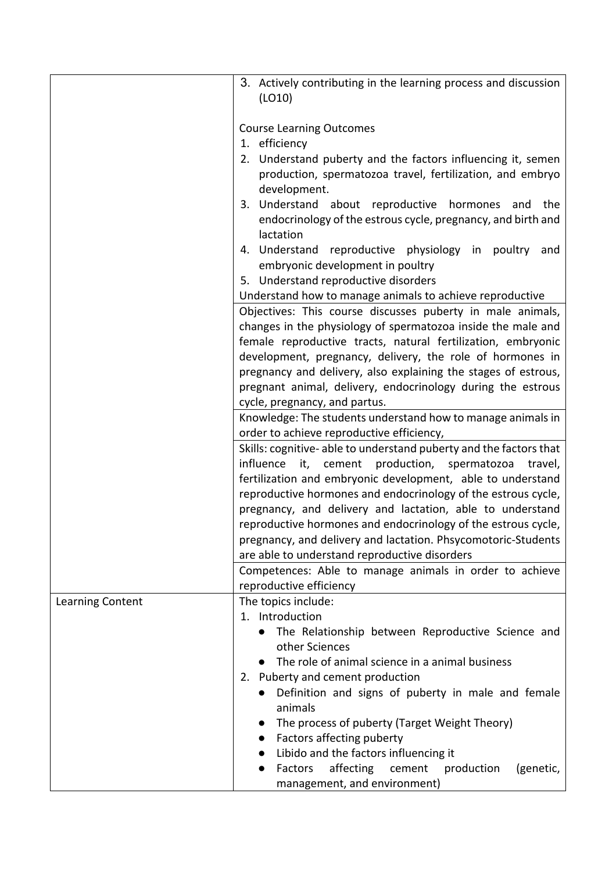|                  | 3. Actively contributing in the learning process and discussion<br>(LO10)                                                      |
|------------------|--------------------------------------------------------------------------------------------------------------------------------|
|                  | <b>Course Learning Outcomes</b>                                                                                                |
|                  | 1. efficiency                                                                                                                  |
|                  | 2. Understand puberty and the factors influencing it, semen                                                                    |
|                  | production, spermatozoa travel, fertilization, and embryo<br>development.                                                      |
|                  | 3. Understand about reproductive hormones<br>and<br>the                                                                        |
|                  | endocrinology of the estrous cycle, pregnancy, and birth and                                                                   |
|                  | lactation                                                                                                                      |
|                  | 4. Understand reproductive physiology in poultry and                                                                           |
|                  | embryonic development in poultry                                                                                               |
|                  | 5. Understand reproductive disorders                                                                                           |
|                  | Understand how to manage animals to achieve reproductive                                                                       |
|                  | Objectives: This course discusses puberty in male animals,                                                                     |
|                  | changes in the physiology of spermatozoa inside the male and                                                                   |
|                  | female reproductive tracts, natural fertilization, embryonic<br>development, pregnancy, delivery, the role of hormones in      |
|                  | pregnancy and delivery, also explaining the stages of estrous,                                                                 |
|                  | pregnant animal, delivery, endocrinology during the estrous                                                                    |
|                  | cycle, pregnancy, and partus.                                                                                                  |
|                  | Knowledge: The students understand how to manage animals in                                                                    |
|                  | order to achieve reproductive efficiency,                                                                                      |
|                  | Skills: cognitive-able to understand puberty and the factors that                                                              |
|                  | influence<br>production, spermatozoa<br>it, cement<br>travel,                                                                  |
|                  | fertilization and embryonic development, able to understand                                                                    |
|                  | reproductive hormones and endocrinology of the estrous cycle,                                                                  |
|                  | pregnancy, and delivery and lactation, able to understand                                                                      |
|                  | reproductive hormones and endocrinology of the estrous cycle,<br>pregnancy, and delivery and lactation. Phsycomotoric-Students |
|                  | are able to understand reproductive disorders                                                                                  |
|                  | Competences: Able to manage animals in order to achieve                                                                        |
|                  | reproductive efficiency                                                                                                        |
| Learning Content | The topics include:                                                                                                            |
|                  | 1. Introduction                                                                                                                |
|                  | The Relationship between Reproductive Science and<br>$\bullet$                                                                 |
|                  | other Sciences                                                                                                                 |
|                  | The role of animal science in a animal business<br>$\bullet$                                                                   |
|                  | 2. Puberty and cement production                                                                                               |
|                  | Definition and signs of puberty in male and female<br>animals                                                                  |
|                  | The process of puberty (Target Weight Theory)                                                                                  |
|                  | Factors affecting puberty<br>$\bullet$                                                                                         |
|                  | Libido and the factors influencing it                                                                                          |
|                  | affecting<br>Factors<br>cement<br>production<br>(genetic,<br>$\bullet$                                                         |
|                  | management, and environment)                                                                                                   |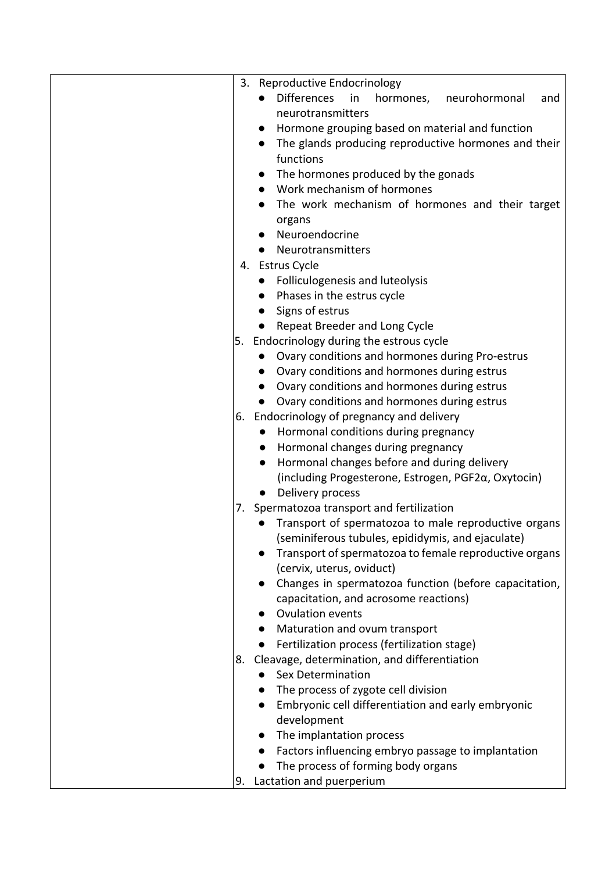|    | 3. Reproductive Endocrinology                                                                             |
|----|-----------------------------------------------------------------------------------------------------------|
|    | <b>Differences</b><br>in<br>hormones,<br>neurohormonal<br>and                                             |
|    | neurotransmitters                                                                                         |
|    | Hormone grouping based on material and function                                                           |
|    | The glands producing reproductive hormones and their<br>$\bullet$                                         |
|    | functions                                                                                                 |
|    | The hormones produced by the gonads<br>$\bullet$                                                          |
|    | Work mechanism of hormones                                                                                |
|    | The work mechanism of hormones and their target<br>$\bullet$                                              |
|    | organs                                                                                                    |
|    | Neuroendocrine                                                                                            |
|    | Neurotransmitters                                                                                         |
|    | 4. Estrus Cycle                                                                                           |
|    | • Folliculogenesis and luteolysis                                                                         |
|    | Phases in the estrus cycle<br>$\bullet$                                                                   |
|    | Signs of estrus<br>$\bullet$                                                                              |
|    | Repeat Breeder and Long Cycle                                                                             |
|    | 5. Endocrinology during the estrous cycle                                                                 |
|    | • Ovary conditions and hormones during Pro-estrus                                                         |
|    | Ovary conditions and hormones during estrus<br>$\bullet$                                                  |
|    | Ovary conditions and hormones during estrus<br>$\bullet$                                                  |
|    | Ovary conditions and hormones during estrus                                                               |
|    | 6. Endocrinology of pregnancy and delivery                                                                |
|    |                                                                                                           |
|    | Hormonal conditions during pregnancy                                                                      |
|    | Hormonal changes during pregnancy<br>$\bullet$<br>Hormonal changes before and during delivery             |
|    | $\bullet$<br>(including Progesterone, Estrogen, PGF2α, Oxytocin)                                          |
|    | Delivery process                                                                                          |
|    | $\bullet$                                                                                                 |
|    | 7. Spermatozoa transport and fertilization                                                                |
|    | Transport of spermatozoa to male reproductive organs<br>(seminiferous tubules, epididymis, and ejaculate) |
|    | Transport of spermatozoa to female reproductive organs                                                    |
|    | (cervix, uterus, oviduct)                                                                                 |
|    | Changes in spermatozoa function (before capacitation,                                                     |
|    | capacitation, and acrosome reactions)                                                                     |
|    | Ovulation events                                                                                          |
|    | Maturation and ovum transport<br>$\bullet$                                                                |
|    | Fertilization process (fertilization stage)                                                               |
|    | 8. Cleavage, determination, and differentiation                                                           |
|    | <b>Sex Determination</b>                                                                                  |
|    | The process of zygote cell division<br>$\bullet$                                                          |
|    | Embryonic cell differentiation and early embryonic                                                        |
|    | development                                                                                               |
|    | The implantation process                                                                                  |
|    | Factors influencing embryo passage to implantation                                                        |
|    | $\bullet$<br>The process of forming body organs                                                           |
|    |                                                                                                           |
| 9. | Lactation and puerperium                                                                                  |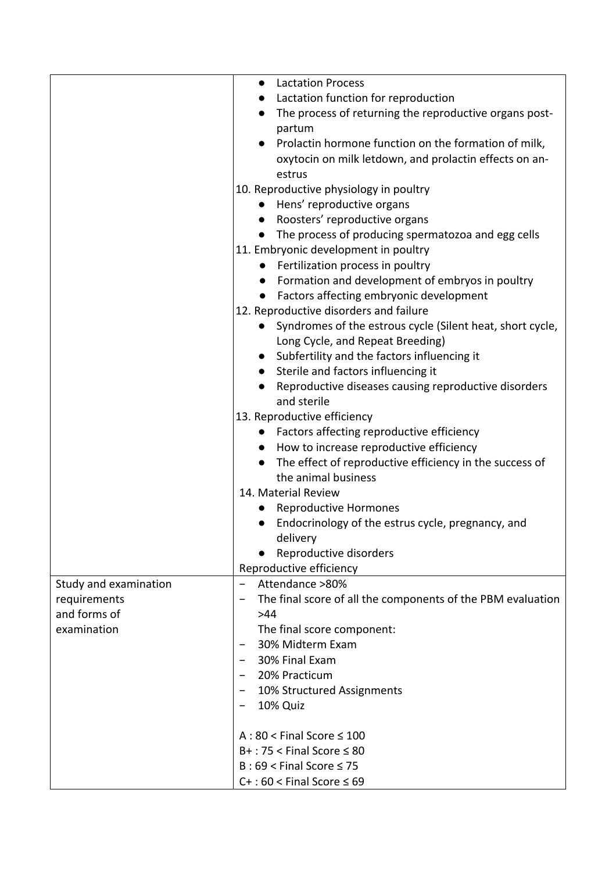|                       | <b>Lactation Process</b><br>$\bullet$                                  |
|-----------------------|------------------------------------------------------------------------|
|                       | Lactation function for reproduction                                    |
|                       | The process of returning the reproductive organs post-                 |
|                       | partum                                                                 |
|                       | Prolactin hormone function on the formation of milk,                   |
|                       | oxytocin on milk letdown, and prolactin effects on an-                 |
|                       | estrus                                                                 |
|                       | 10. Reproductive physiology in poultry                                 |
|                       | • Hens' reproductive organs                                            |
|                       | Roosters' reproductive organs<br>$\bullet$                             |
|                       | The process of producing spermatozoa and egg cells<br>$\bullet$        |
|                       | 11. Embryonic development in poultry                                   |
|                       | Fertilization process in poultry                                       |
|                       | Formation and development of embryos in poultry                        |
|                       | Factors affecting embryonic development<br>$\bullet$                   |
|                       | 12. Reproductive disorders and failure                                 |
|                       | Syndromes of the estrous cycle (Silent heat, short cycle,<br>$\bullet$ |
|                       | Long Cycle, and Repeat Breeding)                                       |
|                       | Subfertility and the factors influencing it<br>$\bullet$               |
|                       | • Sterile and factors influencing it                                   |
|                       | Reproductive diseases causing reproductive disorders                   |
|                       | and sterile                                                            |
|                       | 13. Reproductive efficiency                                            |
|                       | • Factors affecting reproductive efficiency                            |
|                       | How to increase reproductive efficiency<br>$\bullet$                   |
|                       | The effect of reproductive efficiency in the success of<br>$\bullet$   |
|                       | the animal business                                                    |
|                       | 14. Material Review                                                    |
|                       | <b>Reproductive Hormones</b><br>$\bullet$                              |
|                       | Endocrinology of the estrus cycle, pregnancy, and                      |
|                       | delivery                                                               |
|                       | Reproductive disorders                                                 |
|                       | Reproductive efficiency                                                |
| Study and examination | Attendance >80%<br>$\overline{\phantom{0}}$                            |
| requirements          | The final score of all the components of the PBM evaluation            |
| and forms of          | >44                                                                    |
| examination           | The final score component:                                             |
|                       | 30% Midterm Exam                                                       |
|                       | 30% Final Exam                                                         |
|                       | 20% Practicum                                                          |
|                       | 10% Structured Assignments<br>$\qquad \qquad$                          |
|                       | 10% Quiz                                                               |
|                       |                                                                        |
|                       | $A:80 <$ Final Score $\leq 100$                                        |
|                       | $B+$ : 75 < Final Score $\leq 80$                                      |
|                       | $B:69 <$ Final Score $\leq 75$                                         |
|                       | $C+$ : 60 < Final Score $\leq 69$                                      |